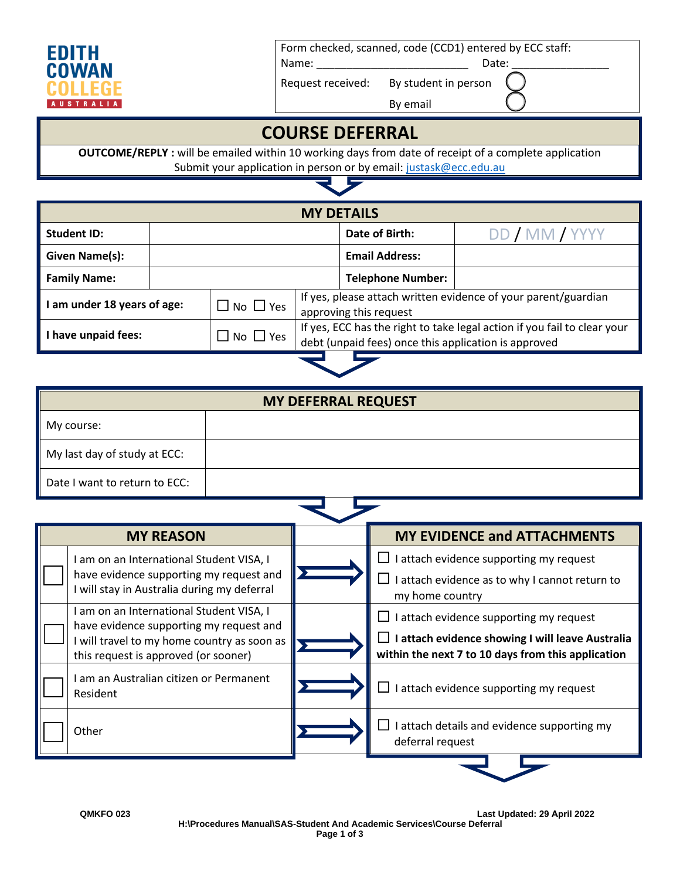

Form checked, scanned, code (CCD1) entered by ECC staff:

Name: \_\_\_\_\_\_\_\_\_\_\_\_\_\_\_\_\_\_\_\_\_\_\_\_\_ Date: \_\_\_\_\_\_\_\_\_\_\_\_\_\_\_\_

Request received: By student in person

By email

## **COURSE DEFERRAL**

**OUTCOME/REPLY :** will be emailed within 10 working days from date of receipt of a complete application Submit your application in person or by email[: justask@ecc.edu.au](mailto:justask@ecc.edu.au)

<u>Ly</u>

| <b>MY DETAILS</b>         |  |                            |                                                                                                                                  |                          |                |  |
|---------------------------|--|----------------------------|----------------------------------------------------------------------------------------------------------------------------------|--------------------------|----------------|--|
| <b>Student ID:</b>        |  |                            |                                                                                                                                  | Date of Birth:           | DD / MM / YYYY |  |
| Given Name(s):            |  |                            |                                                                                                                                  | <b>Email Address:</b>    |                |  |
| <b>Family Name:</b>       |  |                            |                                                                                                                                  | <b>Telephone Number:</b> |                |  |
| am under 18 years of age: |  | $\Box$ No $\Box$ Yes       | If yes, please attach written evidence of your parent/guardian<br>approving this request                                         |                          |                |  |
| I have unpaid fees:       |  | $\square$ No $\square$ Yes | If yes, ECC has the right to take legal action if you fail to clear your<br>debt (unpaid fees) once this application is approved |                          |                |  |
|                           |  |                            |                                                                                                                                  |                          |                |  |

|                               | <b>MY DEFERRAL REQUEST</b> |
|-------------------------------|----------------------------|
| My course:                    |                            |
| My last day of study at ECC:  |                            |
| Date I want to return to ECC: |                            |

| <b>MY REASON</b> |                                                                                                                                                                            |  | <b>MY EVIDENCE and ATTACHMENTS</b>                                                                                                                |  |  |  |
|------------------|----------------------------------------------------------------------------------------------------------------------------------------------------------------------------|--|---------------------------------------------------------------------------------------------------------------------------------------------------|--|--|--|
|                  | am on an International Student VISA, I<br>have evidence supporting my request and<br>I will stay in Australia during my deferral                                           |  | I attach evidence supporting my request<br>l attach evidence as to why I cannot return to<br>my home country                                      |  |  |  |
|                  | I am on an International Student VISA, I<br>have evidence supporting my request and<br>I will travel to my home country as soon as<br>this request is approved (or sooner) |  | I attach evidence supporting my request<br>I attach evidence showing I will leave Australia<br>within the next 7 to 10 days from this application |  |  |  |
|                  | I am an Australian citizen or Permanent<br>Resident                                                                                                                        |  | l attach evidence supporting my request                                                                                                           |  |  |  |
|                  | Other                                                                                                                                                                      |  | I attach details and evidence supporting my<br>deferral request                                                                                   |  |  |  |
|                  |                                                                                                                                                                            |  |                                                                                                                                                   |  |  |  |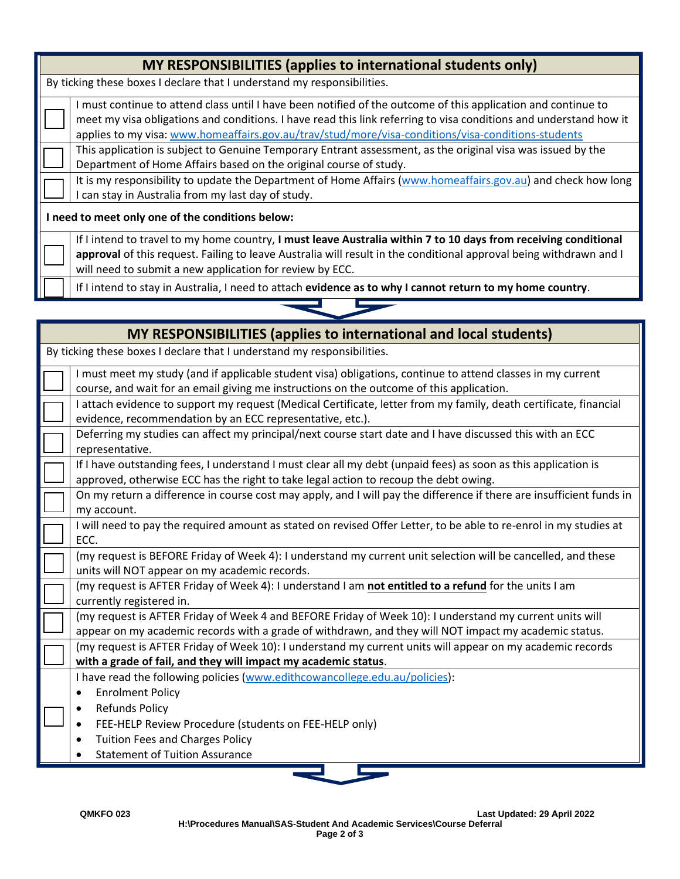| MY RESPONSIBILITIES (applies to international students only) |                                                                                                                                                                                                                                                                                                                                          |  |  |  |
|--------------------------------------------------------------|------------------------------------------------------------------------------------------------------------------------------------------------------------------------------------------------------------------------------------------------------------------------------------------------------------------------------------------|--|--|--|
|                                                              | By ticking these boxes I declare that I understand my responsibilities.                                                                                                                                                                                                                                                                  |  |  |  |
|                                                              | I must continue to attend class until I have been notified of the outcome of this application and continue to<br>meet my visa obligations and conditions. I have read this link referring to visa conditions and understand how it<br>applies to my visa: www.homeaffairs.gov.au/trav/stud/more/visa-conditions/visa-conditions-students |  |  |  |
|                                                              | This application is subject to Genuine Temporary Entrant assessment, as the original visa was issued by the<br>Department of Home Affairs based on the original course of study.                                                                                                                                                         |  |  |  |
|                                                              | It is my responsibility to update the Department of Home Affairs (www.homeaffairs.gov.au) and check how long<br>can stay in Australia from my last day of study.                                                                                                                                                                         |  |  |  |
|                                                              | I need to meet only one of the conditions below:                                                                                                                                                                                                                                                                                         |  |  |  |
|                                                              | If I intend to travel to my home country, I must leave Australia within 7 to 10 days from receiving conditional<br>approval of this request. Failing to leave Australia will result in the conditional approval being withdrawn and I<br>will need to submit a new application for review by ECC.                                        |  |  |  |
|                                                              | If I intend to stay in Australia, I need to attach evidence as to why I cannot return to my home country.                                                                                                                                                                                                                                |  |  |  |

E

| MY RESPONSIBILITIES (applies to international and local students) |                                                                                                                                                                                                                                    |  |
|-------------------------------------------------------------------|------------------------------------------------------------------------------------------------------------------------------------------------------------------------------------------------------------------------------------|--|
|                                                                   | By ticking these boxes I declare that I understand my responsibilities.                                                                                                                                                            |  |
|                                                                   | I must meet my study (and if applicable student visa) obligations, continue to attend classes in my current<br>course, and wait for an email giving me instructions on the outcome of this application.                            |  |
|                                                                   | I attach evidence to support my request (Medical Certificate, letter from my family, death certificate, financial<br>evidence, recommendation by an ECC representative, etc.).                                                     |  |
|                                                                   | Deferring my studies can affect my principal/next course start date and I have discussed this with an ECC<br>representative.                                                                                                       |  |
|                                                                   | If I have outstanding fees, I understand I must clear all my debt (unpaid fees) as soon as this application is<br>approved, otherwise ECC has the right to take legal action to recoup the debt owing.                             |  |
|                                                                   | On my return a difference in course cost may apply, and I will pay the difference if there are insufficient funds in<br>my account.                                                                                                |  |
|                                                                   | I will need to pay the required amount as stated on revised Offer Letter, to be able to re-enrol in my studies at<br>ECC.                                                                                                          |  |
|                                                                   | (my request is BEFORE Friday of Week 4): I understand my current unit selection will be cancelled, and these<br>units will NOT appear on my academic records.                                                                      |  |
|                                                                   | (my request is AFTER Friday of Week 4): I understand I am not entitled to a refund for the units I am<br>currently registered in.                                                                                                  |  |
|                                                                   | (my request is AFTER Friday of Week 4 and BEFORE Friday of Week 10): I understand my current units will<br>appear on my academic records with a grade of withdrawn, and they will NOT impact my academic status.                   |  |
|                                                                   | (my request is AFTER Friday of Week 10): I understand my current units will appear on my academic records<br>with a grade of fail, and they will impact my academic status.                                                        |  |
|                                                                   | I have read the following policies (www.edithcowancollege.edu.au/policies):<br><b>Enrolment Policy</b><br><b>Refunds Policy</b><br>FEE-HELP Review Procedure (students on FEE-HELP only)<br><b>Tuition Fees and Charges Policy</b> |  |
|                                                                   | <b>Statement of Tuition Assurance</b>                                                                                                                                                                                              |  |